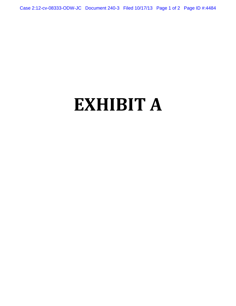Case 2:12-cv-08333-ODW-JC Document 240-3 Filed 10/17/13 Page 1 of 2 Page ID #:4484

## **EXHIBIT A**